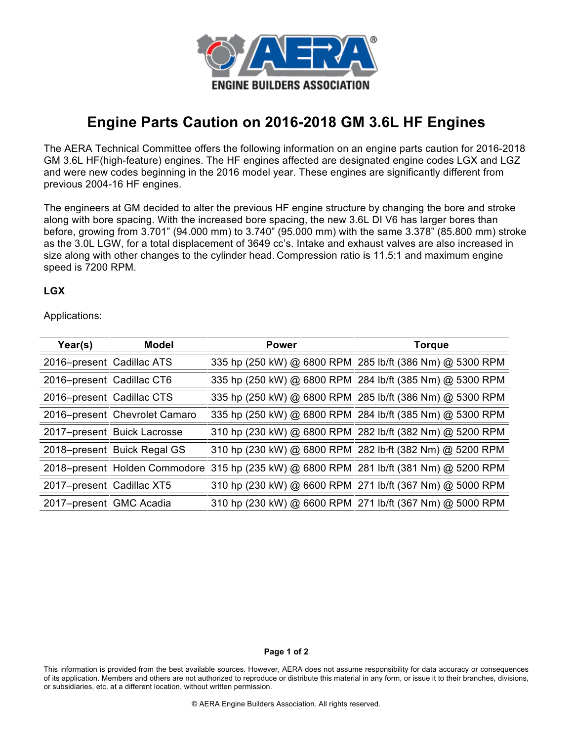

## **Engine Parts Caution on 2016-2018 GM 3.6L HF Engines**

The AERA Technical Committee offers the following information on an engine parts caution for 2016-2018 GM 3.6L HF(high-feature) engines. The HF engines affected are designated engine codes LGX and LGZ and were new codes beginning in the 2016 model year. These engines are significantly different from previous 2004-16 HF engines.

The engineers at GM decided to alter the previous HF engine structure by changing the bore and stroke along with bore spacing. With the increased bore spacing, the new 3.6L DI V6 has larger bores than before, growing from 3.701" (94.000 mm) to 3.740" (95.000 mm) with the same 3.378" (85.800 mm) stroke as the 3.0L LGW, for a total displacement of 3649 cc's. Intake and exhaust valves are also increased in size along with other changes to the cylinder head. Compression ratio is 11.5:1 and maximum engine speed is 7200 RPM.

## **LGX**

Applications:

| Year(s)                   | Model                         | <b>Power</b> | Torque                                                                                 |
|---------------------------|-------------------------------|--------------|----------------------------------------------------------------------------------------|
| 2016-present Cadillac ATS |                               |              | 335 hp (250 kW) @ 6800 RPM 285 lb/ft (386 Nm) @ 5300 RPM                               |
| 2016-present Cadillac CT6 |                               |              | 335 hp (250 kW) @ 6800 RPM 284 lb/ft (385 Nm) @ 5300 RPM                               |
| 2016-present Cadillac CTS |                               |              | 335 hp (250 kW) @ 6800 RPM 285 lb/ft (386 Nm) @ 5300 RPM                               |
|                           | 2016–present Chevrolet Camaro |              | 335 hp (250 kW) @ 6800 RPM 284 lb/ft (385 Nm) @ 5300 RPM                               |
|                           | 2017-present Buick Lacrosse   |              | 310 hp (230 kW) @ 6800 RPM 282 lb/ft (382 Nm) @ 5200 RPM                               |
|                           | 2018-present Buick Regal GS   |              | 310 hp (230 kW) @ 6800 RPM 282 lb ft (382 Nm) @ 5200 RPM                               |
|                           |                               |              | 2018–present Holden Commodore 315 hp (235 kW) @ 6800 RPM 281 lb/ft (381 Nm) @ 5200 RPM |
| 2017-present Cadillac XT5 |                               |              | 310 hp (230 kW) @ 6600 RPM 271 lb/ft (367 Nm) @ 5000 RPM                               |
| 2017-present GMC Acadia   |                               |              | 310 hp (230 kW) @ 6600 RPM 271 lb/ft (367 Nm) @ 5000 RPM                               |

## **Page 1 of 2**

This information is provided from the best available sources. However, AERA does not assume responsibility for data accuracy or consequences of its application. Members and others are not authorized to reproduce or distribute this material in any form, or issue it to their branches, divisions, or subsidiaries, etc. at a different location, without written permission.